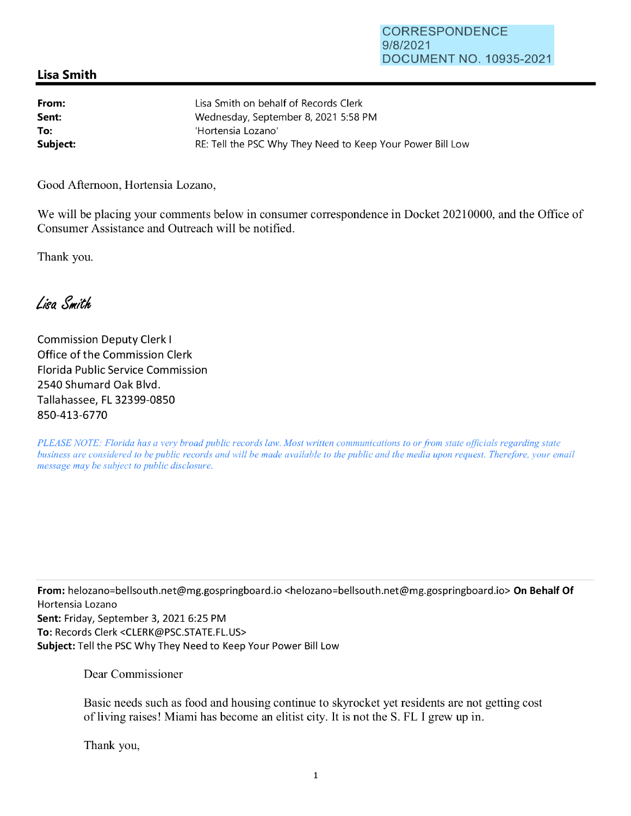## **Lisa Smith**

| From:    | Lisa Smith on behalf of Records Clerk                      |
|----------|------------------------------------------------------------|
| Sent:    | Wednesday, September 8, 2021 5:58 PM                       |
| To:      | 'Hortensia Lozano'                                         |
| Subject: | RE: Tell the PSC Why They Need to Keep Your Power Bill Low |

Good Afternoon, Hortensia Lozano,

We will be placing your comments below in consumer correspondence in Docket 20210000, and the Office of Consumer Assistance and Outreach will be notified.

Thank you.

Lisa Smith

Commission Deputy Clerk I Office of the Commission Clerk Florida Public Service Commission 2540 Shumard Oak Blvd. Tallahassee, FL 32399-0850 850-413-6770

*PLEASE NOTE: Florida has a very broad public records law. Most written communications to or from state officials regarding state business are considered to be public records and will be made available to the public and the media upon request. Therefore, your email message may be subject to public disclosure.* 

**From:** helozano=bellsouth.net@mg.gospringboard.io <helozano=bellsouth.net@mg.gospringboard.io> **On Behalf Of**  Hortensia Lozano **Sent:** Friday, September 3, 2021 6:25 PM **To:** Records Clerk <CLERK@PSC.STATE.FL.US> **Subject:** Tell the PSC Why They Need to Keep Your Power Bill Low

Dear Commissioner

Basic needs such as food and housing continue to skyrocket yet residents are not getting cost of living raises! Miami has become an elitist city. It is not the S. FL I grew up in.

Thank you,